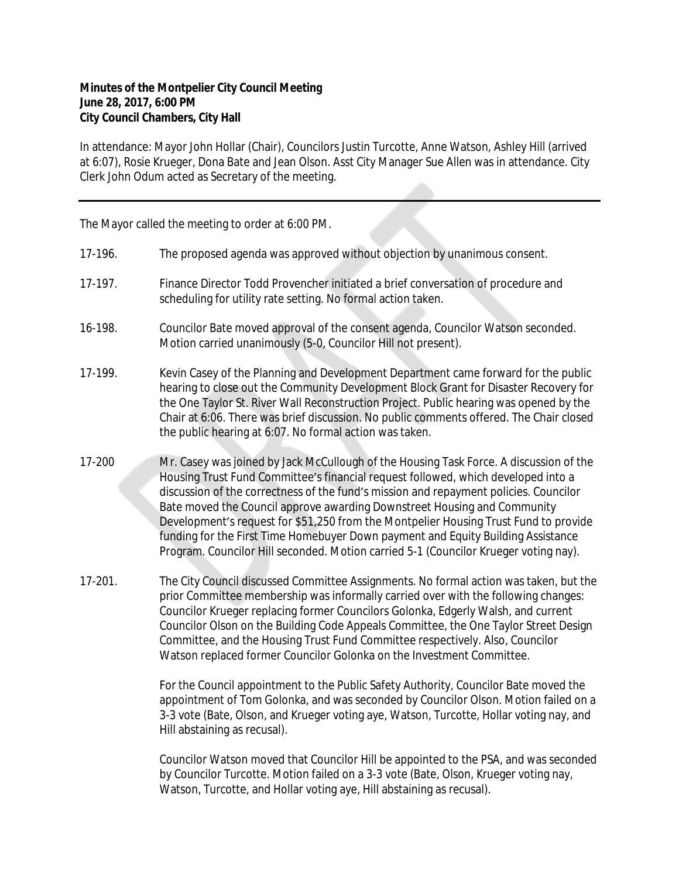## **Minutes of the Montpelier City Council Meeting June 28, 2017, 6:00 PM City Council Chambers, City Hall**

In attendance: Mayor John Hollar (Chair), Councilors Justin Turcotte, Anne Watson, Ashley Hill (arrived at 6:07), Rosie Krueger, Dona Bate and Jean Olson. Asst City Manager Sue Allen was in attendance. City Clerk John Odum acted as Secretary of the meeting.

The Mayor called the meeting to order at 6:00 PM.

- 17-196. The proposed agenda was approved without objection by unanimous consent.
- 17-197. Finance Director Todd Provencher initiated a brief conversation of procedure and scheduling for utility rate setting. No formal action taken.
- 16-198. Councilor Bate moved approval of the consent agenda, Councilor Watson seconded. Motion carried unanimously (5-0, Councilor Hill not present).
- 17-199. Kevin Casey of the Planning and Development Department came forward for the public hearing to close out the Community Development Block Grant for Disaster Recovery for the One Taylor St. River Wall Reconstruction Project. Public hearing was opened by the Chair at 6:06. There was brief discussion. No public comments offered. The Chair closed the public hearing at 6:07. No formal action was taken.
- 17-200 Mr. Casey was joined by Jack McCullough of the Housing Task Force. A discussion of the Housing Trust Fund Committee's financial request followed, which developed into a discussion of the correctness of the fund's mission and repayment policies. Councilor Bate moved the Council approve awarding Downstreet Housing and Community Development's request for \$51,250 from the Montpelier Housing Trust Fund to provide funding for the First Time Homebuyer Down payment and Equity Building Assistance Program. Councilor Hill seconded. Motion carried 5-1 (Councilor Krueger voting nay).
- 17-201. The City Council discussed Committee Assignments. No formal action was taken, but the prior Committee membership was informally carried over with the following changes: Councilor Krueger replacing former Councilors Golonka, Edgerly Walsh, and current Councilor Olson on the Building Code Appeals Committee, the One Taylor Street Design Committee, and the Housing Trust Fund Committee respectively. Also, Councilor Watson replaced former Councilor Golonka on the Investment Committee.

For the Council appointment to the Public Safety Authority, Councilor Bate moved the appointment of Tom Golonka, and was seconded by Councilor Olson. Motion failed on a 3-3 vote (Bate, Olson, and Krueger voting aye, Watson, Turcotte, Hollar voting nay, and Hill abstaining as recusal).

Councilor Watson moved that Councilor Hill be appointed to the PSA, and was seconded by Councilor Turcotte. Motion failed on a 3-3 vote (Bate, Olson, Krueger voting nay, Watson, Turcotte, and Hollar voting aye, Hill abstaining as recusal).